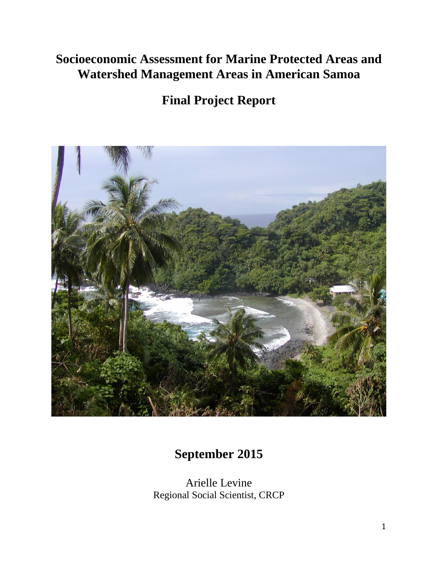## **Socioeconomic Assessment for Marine Protected Areas and Watershed Management Areas in American Samoa**

# **Final Project Report**



## **September 2015**

Arielle Levine Regional Social Scientist, CRCP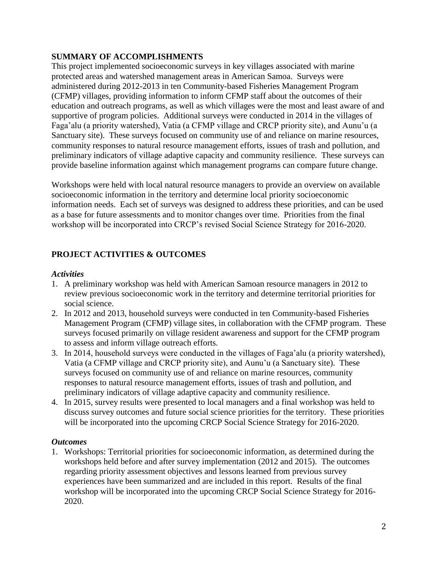## **SUMMARY OF ACCOMPLISHMENTS**

This project implemented socioeconomic surveys in key villages associated with marine protected areas and watershed management areas in American Samoa. Surveys were administered during 2012-2013 in ten Community-based Fisheries Management Program (CFMP) villages, providing information to inform CFMP staff about the outcomes of their education and outreach programs, as well as which villages were the most and least aware of and supportive of program policies. Additional surveys were conducted in 2014 in the villages of Faga'alu (a priority watershed), Vatia (a CFMP village and CRCP priority site), and Aunu'u (a Sanctuary site). These surveys focused on community use of and reliance on marine resources, community responses to natural resource management efforts, issues of trash and pollution, and preliminary indicators of village adaptive capacity and community resilience. These surveys can provide baseline information against which management programs can compare future change.

Workshops were held with local natural resource managers to provide an overview on available socioeconomic information in the territory and determine local priority socioeconomic information needs. Each set of surveys was designed to address these priorities, and can be used as a base for future assessments and to monitor changes over time. Priorities from the final workshop will be incorporated into CRCP's revised Social Science Strategy for 2016-2020.

## **PROJECT ACTIVITIES & OUTCOMES**

#### *Activities*

- 1. A preliminary workshop was held with American Samoan resource managers in 2012 to review previous socioeconomic work in the territory and determine territorial priorities for social science.
- 2. In 2012 and 2013, household surveys were conducted in ten Community-based Fisheries Management Program (CFMP) village sites, in collaboration with the CFMP program. These surveys focused primarily on village resident awareness and support for the CFMP program to assess and inform village outreach efforts.
- 3. In 2014, household surveys were conducted in the villages of Faga'alu (a priority watershed), Vatia (a CFMP village and CRCP priority site), and Aunu'u (a Sanctuary site). These surveys focused on community use of and reliance on marine resources, community responses to natural resource management efforts, issues of trash and pollution, and preliminary indicators of village adaptive capacity and community resilience.
- 4. In 2015, survey results were presented to local managers and a final workshop was held to discuss survey outcomes and future social science priorities for the territory. These priorities will be incorporated into the upcoming CRCP Social Science Strategy for 2016-2020.

## *Outcomes*

1. Workshops: Territorial priorities for socioeconomic information, as determined during the workshops held before and after survey implementation (2012 and 2015). The outcomes regarding priority assessment objectives and lessons learned from previous survey experiences have been summarized and are included in this report. Results of the final workshop will be incorporated into the upcoming CRCP Social Science Strategy for 2016- 2020.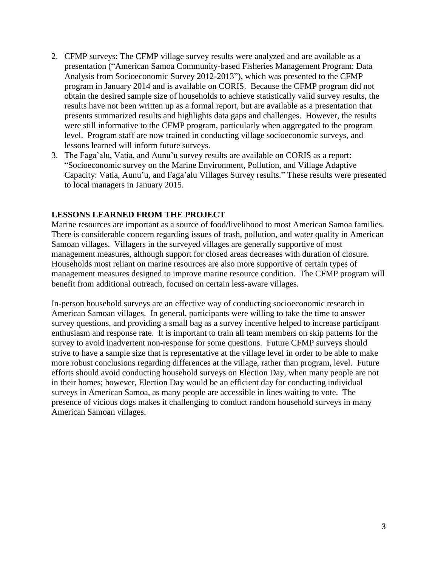- 2. CFMP surveys: The CFMP village survey results were analyzed and are available as a presentation ("American Samoa Community-based Fisheries Management Program: Data Analysis from Socioeconomic Survey 2012-2013"), which was presented to the CFMP program in January 2014 and is available on CORIS. Because the CFMP program did not obtain the desired sample size of households to achieve statistically valid survey results, the results have not been written up as a formal report, but are available as a presentation that presents summarized results and highlights data gaps and challenges. However, the results were still informative to the CFMP program, particularly when aggregated to the program level. Program staff are now trained in conducting village socioeconomic surveys, and lessons learned will inform future surveys.
- 3. The Faga'alu, Vatia, and Aunu'u survey results are available on CORIS as a report: "Socioeconomic survey on the Marine Environment, Pollution, and Village Adaptive Capacity: Vatia, Aunu'u, and Faga'alu Villages Survey results." These results were presented to local managers in January 2015.

#### **LESSONS LEARNED FROM THE PROJECT**

Marine resources are important as a source of food/livelihood to most American Samoa families. There is considerable concern regarding issues of trash, pollution, and water quality in American Samoan villages. Villagers in the surveyed villages are generally supportive of most management measures, although support for closed areas decreases with duration of closure. Households most reliant on marine resources are also more supportive of certain types of management measures designed to improve marine resource condition. The CFMP program will benefit from additional outreach, focused on certain less-aware villages.

In-person household surveys are an effective way of conducting socioeconomic research in American Samoan villages. In general, participants were willing to take the time to answer survey questions, and providing a small bag as a survey incentive helped to increase participant enthusiasm and response rate. It is important to train all team members on skip patterns for the survey to avoid inadvertent non-response for some questions. Future CFMP surveys should strive to have a sample size that is representative at the village level in order to be able to make more robust conclusions regarding differences at the village, rather than program, level. Future efforts should avoid conducting household surveys on Election Day, when many people are not in their homes; however, Election Day would be an efficient day for conducting individual surveys in American Samoa, as many people are accessible in lines waiting to vote. The presence of vicious dogs makes it challenging to conduct random household surveys in many American Samoan villages.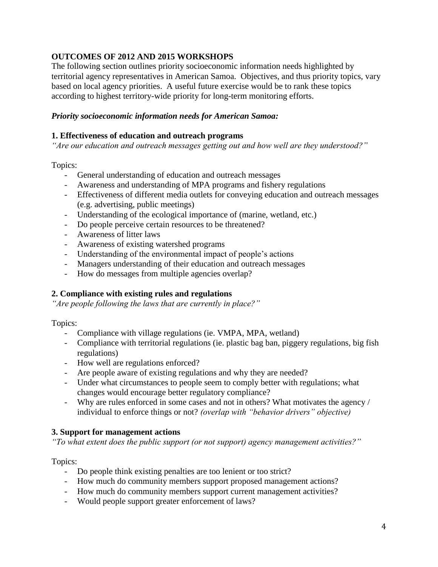## **OUTCOMES OF 2012 AND 2015 WORKSHOPS**

The following section outlines priority socioeconomic information needs highlighted by territorial agency representatives in American Samoa. Objectives, and thus priority topics, vary based on local agency priorities. A useful future exercise would be to rank these topics according to highest territory-wide priority for long-term monitoring efforts.

## *Priority socioeconomic information needs for American Samoa:*

## **1. Effectiveness of education and outreach programs**

*"Are our education and outreach messages getting out and how well are they understood?"*

## Topics:

- General understanding of education and outreach messages
- Awareness and understanding of MPA programs and fishery regulations
- Effectiveness of different media outlets for conveying education and outreach messages (e.g. advertising, public meetings)
- Understanding of the ecological importance of (marine, wetland, etc.)
- Do people perceive certain resources to be threatened?
- Awareness of litter laws
- Awareness of existing watershed programs
- Understanding of the environmental impact of people's actions
- Managers understanding of their education and outreach messages
- How do messages from multiple agencies overlap?

## **2. Compliance with existing rules and regulations**

*"Are people following the laws that are currently in place?"*

Topics:

- Compliance with village regulations (ie. VMPA, MPA, wetland)
- Compliance with territorial regulations (ie. plastic bag ban, piggery regulations, big fish regulations)
- How well are regulations enforced?
- Are people aware of existing regulations and why they are needed?
- Under what circumstances to people seem to comply better with regulations; what changes would encourage better regulatory compliance?
- Why are rules enforced in some cases and not in others? What motivates the agency / individual to enforce things or not? *(overlap with "behavior drivers" objective)*

## **3. Support for management actions**

*"To what extent does the public support (or not support) agency management activities?"*

Topics:

- Do people think existing penalties are too lenient or too strict?
- How much do community members support proposed management actions?
- How much do community members support current management activities?
- Would people support greater enforcement of laws?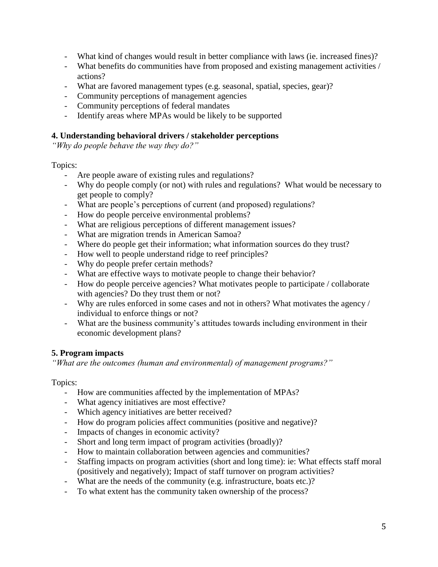- What kind of changes would result in better compliance with laws (ie. increased fines)?
- What benefits do communities have from proposed and existing management activities / actions?
- What are favored management types (e.g. seasonal, spatial, species, gear)?
- Community perceptions of management agencies
- Community perceptions of federal mandates
- Identify areas where MPAs would be likely to be supported

#### **4. Understanding behavioral drivers / stakeholder perceptions**

*"Why do people behave the way they do?"*

#### Topics:

- Are people aware of existing rules and regulations?
- Why do people comply (or not) with rules and regulations? What would be necessary to get people to comply?
- What are people's perceptions of current (and proposed) regulations?
- How do people perceive environmental problems?
- What are religious perceptions of different management issues?
- What are migration trends in American Samoa?
- Where do people get their information; what information sources do they trust?
- How well to people understand ridge to reef principles?
- Why do people prefer certain methods?
- What are effective ways to motivate people to change their behavior?
- How do people perceive agencies? What motivates people to participate / collaborate with agencies? Do they trust them or not?
- Why are rules enforced in some cases and not in others? What motivates the agency / individual to enforce things or not?
- What are the business community's attitudes towards including environment in their economic development plans?

## **5. Program impacts**

*"What are the outcomes (human and environmental) of management programs?"*

#### Topics:

- How are communities affected by the implementation of MPAs?
- What agency initiatives are most effective?
- Which agency initiatives are better received?
- How do program policies affect communities (positive and negative)?
- Impacts of changes in economic activity?
- Short and long term impact of program activities (broadly)?
- How to maintain collaboration between agencies and communities?
- Staffing impacts on program activities (short and long time): ie: What effects staff moral (positively and negatively); Impact of staff turnover on program activities?
- What are the needs of the community (e.g. infrastructure, boats etc.)?
- To what extent has the community taken ownership of the process?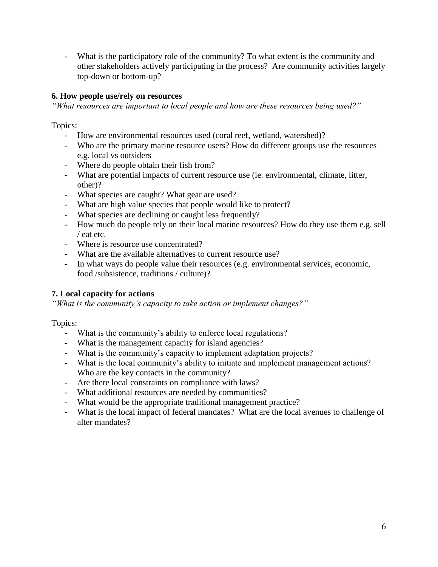- What is the participatory role of the community? To what extent is the community and other stakeholders actively participating in the process? Are community activities largely top-down or bottom-up?

## **6. How people use/rely on resources**

*"What resources are important to local people and how are these resources being used?"*

Topics:

- How are environmental resources used (coral reef, wetland, watershed)?
- Who are the primary marine resource users? How do different groups use the resources e.g. local vs outsiders
- Where do people obtain their fish from?
- What are potential impacts of current resource use (ie. environmental, climate, litter, other)?
- What species are caught? What gear are used?
- What are high value species that people would like to protect?
- What species are declining or caught less frequently?
- How much do people rely on their local marine resources? How do they use them e.g. sell / eat etc.
- Where is resource use concentrated?
- What are the available alternatives to current resource use?
- In what ways do people value their resources (e.g. environmental services, economic, food /subsistence, traditions / culture)?

## **7. Local capacity for actions**

*"What is the community's capacity to take action or implement changes?"*

Topics:

- What is the community's ability to enforce local regulations?
- What is the management capacity for island agencies?
- What is the community's capacity to implement adaptation projects?
- What is the local community's ability to initiate and implement management actions? Who are the key contacts in the community?
- Are there local constraints on compliance with laws?
- What additional resources are needed by communities?
- What would be the appropriate traditional management practice?
- What is the local impact of federal mandates? What are the local avenues to challenge of alter mandates?